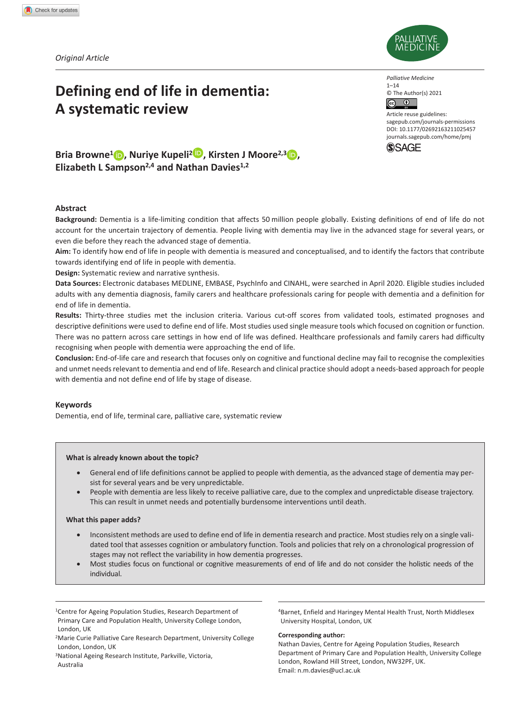*Original Article*

# **Defining end of life in dementia: A systematic review**



*Palliative Medicine*  $1 - 14$ © The Author(s) 2021  $\overline{c}$  $\odot$ 

DOI: 10.1177/02692163211025457 Article reuse guidelines: [sagepub.com/journals-permissions](https://uk.sagepub.com/en-gb/journals-permissions) [journals.sagepub.com/home/pmj](http://journals.sagepub.com/home/pmj)



**Bria Browne<sup>1</sup> <b>b**, Nuriye Kupeli<sup>2</sup> **D**, Kirsten J Moore<sup>2,3</sup> **b**, **Elizabeth L Sampson2,4 and Nathan Davies1,2**

### **Abstract**

**Background:** Dementia is a life-limiting condition that affects 50 million people globally. Existing definitions of end of life do not account for the uncertain trajectory of dementia. People living with dementia may live in the advanced stage for several years, or even die before they reach the advanced stage of dementia.

**Aim:** To identify how end of life in people with dementia is measured and conceptualised, and to identify the factors that contribute towards identifying end of life in people with dementia.

**Design:** Systematic review and narrative synthesis.

**Data Sources:** Electronic databases MEDLINE, EMBASE, PsychInfo and CINAHL, were searched in April 2020. Eligible studies included adults with any dementia diagnosis, family carers and healthcare professionals caring for people with dementia and a definition for end of life in dementia.

**Results:** Thirty-three studies met the inclusion criteria. Various cut-off scores from validated tools, estimated prognoses and descriptive definitions were used to define end of life. Most studies used single measure tools which focused on cognition or function. There was no pattern across care settings in how end of life was defined. Healthcare professionals and family carers had difficulty recognising when people with dementia were approaching the end of life.

**Conclusion:** End-of-life care and research that focuses only on cognitive and functional decline may fail to recognise the complexities and unmet needs relevant to dementia and end of life. Research and clinical practice should adopt a needs-based approach for people with dementia and not define end of life by stage of disease.

#### **Keywords**

Dementia, end of life, terminal care, palliative care, systematic review

#### **What is already known about the topic?**

- General end of life definitions cannot be applied to people with dementia, as the advanced stage of dementia may persist for several years and be very unpredictable.
- People with dementia are less likely to receive palliative care, due to the complex and unpredictable disease trajectory. This can result in unmet needs and potentially burdensome interventions until death.

#### **What this paper adds?**

- Inconsistent methods are used to define end of life in dementia research and practice. Most studies rely on a single validated tool that assesses cognition or ambulatory function. Tools and policies that rely on a chronological progression of stages may not reflect the variability in how dementia progresses.
- Most studies focus on functional or cognitive measurements of end of life and do not consider the holistic needs of the individual.

<sup>1</sup>Centre for Ageing Population Studies, Research Department of Primary Care and Population Health, University College London, London, UK

<sup>2</sup>Marie Curie Palliative Care Research Department, University College London, London, UK

<sup>3</sup>National Ageing Research Institute, Parkville, Victoria, Australia

<sup>4</sup>Barnet, Enfield and Haringey Mental Health Trust, North Middlesex University Hospital, London, UK

#### **Corresponding author:**

Nathan Davies, Centre for Ageing Population Studies, Research Department of Primary Care and Population Health, University College London, Rowland Hill Street, London, NW32PF, UK. Email: [n.m.davies@ucl.ac.uk](mailto:n.m.davies@ucl.ac.uk)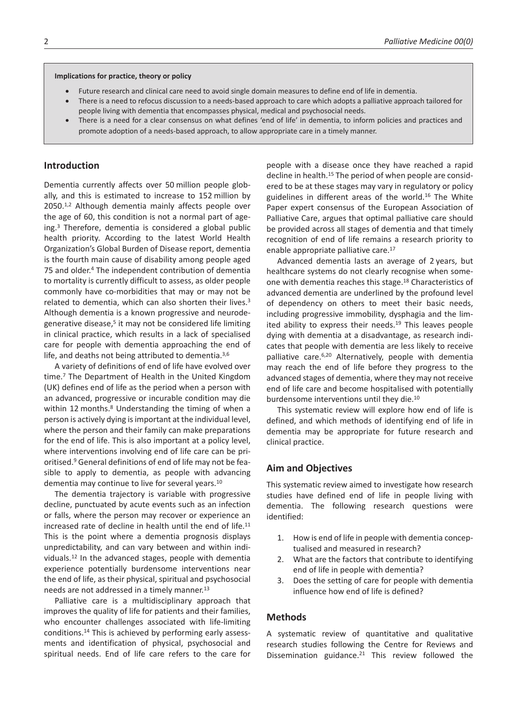#### **Implications for practice, theory or policy**

- Future research and clinical care need to avoid single domain measures to define end of life in dementia.
- There is a need to refocus discussion to a needs-based approach to care which adopts a palliative approach tailored for people living with dementia that encompasses physical, medical and psychosocial needs.
- There is a need for a clear consensus on what defines 'end of life' in dementia, to inform policies and practices and promote adoption of a needs-based approach, to allow appropriate care in a timely manner.

#### **Introduction**

Dementia currently affects over 50 million people globally, and this is estimated to increase to 152 million by 2050.1,2 Although dementia mainly affects people over the age of 60, this condition is not a normal part of ageing.3 Therefore, dementia is considered a global public health priority. According to the latest World Health Organization's Global Burden of Disease report, dementia is the fourth main cause of disability among people aged 75 and older.4 The independent contribution of dementia to mortality is currently difficult to assess, as older people commonly have co-morbidities that may or may not be related to dementia, which can also shorten their lives.3 Although dementia is a known progressive and neurodegenerative disease,<sup>5</sup> it may not be considered life limiting in clinical practice, which results in a lack of specialised care for people with dementia approaching the end of life, and deaths not being attributed to dementia.<sup>3,6</sup>

A variety of definitions of end of life have evolved over time.7 The Department of Health in the United Kingdom (UK) defines end of life as the period when a person with an advanced, progressive or incurable condition may die within 12 months.<sup>8</sup> Understanding the timing of when a person is actively dying is important at the individual level, where the person and their family can make preparations for the end of life. This is also important at a policy level, where interventions involving end of life care can be prioritised.9 General definitions of end of life may not be feasible to apply to dementia, as people with advancing dementia may continue to live for several years.10

The dementia trajectory is variable with progressive decline, punctuated by acute events such as an infection or falls, where the person may recover or experience an increased rate of decline in health until the end of life.11 This is the point where a dementia prognosis displays unpredictability, and can vary between and within individuals.12 In the advanced stages, people with dementia experience potentially burdensome interventions near the end of life, as their physical, spiritual and psychosocial needs are not addressed in a timely manner.13

Palliative care is a multidisciplinary approach that improves the quality of life for patients and their families, who encounter challenges associated with life-limiting conditions.14 This is achieved by performing early assessments and identification of physical, psychosocial and spiritual needs. End of life care refers to the care for

people with a disease once they have reached a rapid decline in health.15 The period of when people are considered to be at these stages may vary in regulatory or policy guidelines in different areas of the world.16 The White Paper expert consensus of the European Association of Palliative Care, argues that optimal palliative care should be provided across all stages of dementia and that timely recognition of end of life remains a research priority to enable appropriate palliative care.17

Advanced dementia lasts an average of 2 years, but healthcare systems do not clearly recognise when someone with dementia reaches this stage.18 Characteristics of advanced dementia are underlined by the profound level of dependency on others to meet their basic needs, including progressive immobility, dysphagia and the limited ability to express their needs.<sup>19</sup> This leaves people dying with dementia at a disadvantage, as research indicates that people with dementia are less likely to receive palliative care.6,20 Alternatively, people with dementia may reach the end of life before they progress to the advanced stages of dementia, where they may not receive end of life care and become hospitalised with potentially burdensome interventions until they die.10

This systematic review will explore how end of life is defined, and which methods of identifying end of life in dementia may be appropriate for future research and clinical practice.

#### **Aim and Objectives**

This systematic review aimed to investigate how research studies have defined end of life in people living with dementia. The following research questions were identified:

- 1. How is end of life in people with dementia conceptualised and measured in research?
- 2. What are the factors that contribute to identifying end of life in people with dementia?
- 3. Does the setting of care for people with dementia influence how end of life is defined?

#### **Methods**

A systematic review of quantitative and qualitative research studies following the Centre for Reviews and Dissemination guidance.<sup>21</sup> This review followed the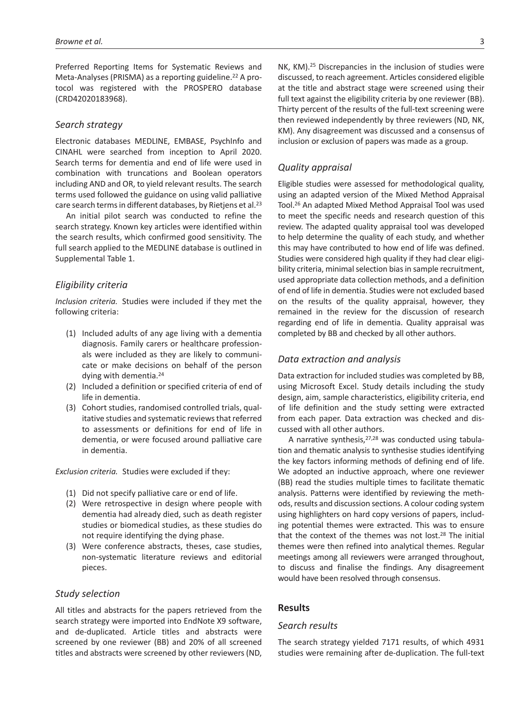Preferred Reporting Items for Systematic Reviews and Meta-Analyses (PRISMA) as a reporting guideline.<sup>22</sup> A protocol was registered with the PROSPERO database (CRD42020183968).

# *Search strategy*

Electronic databases MEDLINE, EMBASE, PsychInfo and CINAHL were searched from inception to April 2020. Search terms for dementia and end of life were used in combination with truncations and Boolean operators including AND and OR, to yield relevant results. The search terms used followed the guidance on using valid palliative care search terms in different databases, by Rietjens et al.23

An initial pilot search was conducted to refine the search strategy. Known key articles were identified within the search results, which confirmed good sensitivity. The full search applied to the MEDLINE database is outlined in Supplemental Table 1.

# *Eligibility criteria*

*Inclusion criteria.* Studies were included if they met the following criteria:

- (1) Included adults of any age living with a dementia diagnosis. Family carers or healthcare professionals were included as they are likely to communicate or make decisions on behalf of the person dying with dementia.24
- (2) Included a definition or specified criteria of end of life in dementia.
- (3) Cohort studies, randomised controlled trials, qualitative studies and systematic reviews that referred to assessments or definitions for end of life in dementia, or were focused around palliative care in dementia.

*Exclusion criteria.* Studies were excluded if they:

- (1) Did not specify palliative care or end of life.
- (2) Were retrospective in design where people with dementia had already died, such as death register studies or biomedical studies, as these studies do not require identifying the dying phase.
- (3) Were conference abstracts, theses, case studies, non-systematic literature reviews and editorial pieces.

### *Study selection*

All titles and abstracts for the papers retrieved from the search strategy were imported into EndNote X9 software, and de-duplicated. Article titles and abstracts were screened by one reviewer (BB) and 20% of all screened titles and abstracts were screened by other reviewers (ND, NK, KM).25 Discrepancies in the inclusion of studies were discussed, to reach agreement. Articles considered eligible at the title and abstract stage were screened using their full text against the eligibility criteria by one reviewer (BB). Thirty percent of the results of the full-text screening were then reviewed independently by three reviewers (ND, NK, KM). Any disagreement was discussed and a consensus of inclusion or exclusion of papers was made as a group.

### *Quality appraisal*

Eligible studies were assessed for methodological quality, using an adapted version of the Mixed Method Appraisal Tool.26 An adapted Mixed Method Appraisal Tool was used to meet the specific needs and research question of this review. The adapted quality appraisal tool was developed to help determine the quality of each study, and whether this may have contributed to how end of life was defined. Studies were considered high quality if they had clear eligibility criteria, minimal selection bias in sample recruitment, used appropriate data collection methods, and a definition of end of life in dementia. Studies were not excluded based on the results of the quality appraisal, however, they remained in the review for the discussion of research regarding end of life in dementia. Quality appraisal was completed by BB and checked by all other authors.

# *Data extraction and analysis*

Data extraction for included studies was completed by BB, using Microsoft Excel. Study details including the study design, aim, sample characteristics, eligibility criteria, end of life definition and the study setting were extracted from each paper. Data extraction was checked and discussed with all other authors.

A narrative synthesis,27,28 was conducted using tabulation and thematic analysis to synthesise studies identifying the key factors informing methods of defining end of life. We adopted an inductive approach, where one reviewer (BB) read the studies multiple times to facilitate thematic analysis. Patterns were identified by reviewing the methods, results and discussion sections. A colour coding system using highlighters on hard copy versions of papers, including potential themes were extracted. This was to ensure that the context of the themes was not lost.28 The initial themes were then refined into analytical themes. Regular meetings among all reviewers were arranged throughout, to discuss and finalise the findings. Any disagreement would have been resolved through consensus.

#### **Results**

### *Search results*

The search strategy yielded 7171 results, of which 4931 studies were remaining after de-duplication. The full-text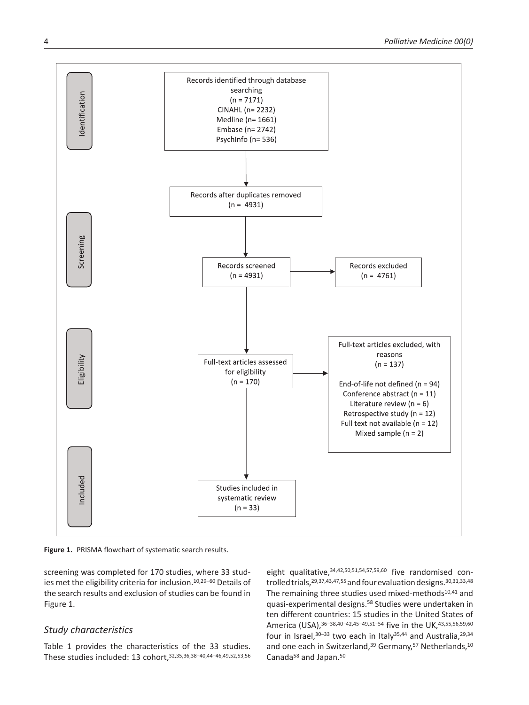

**Figure 1.** PRISMA flowchart of systematic search results.

screening was completed for 170 studies, where 33 studies met the eligibility criteria for inclusion.10,29–60 Details of the search results and exclusion of studies can be found in Figure 1.

# *Study characteristics*

Table 1 provides the characteristics of the 33 studies. These studies included: 13 cohort,32,35,36,38–40,44–46,49,52,53,56 eight qualitative, 34,42,50,51,54,57,59,60 five randomised controlled trials,<sup>29,37,43,47,55</sup> and four evaluation designs.<sup>30,31,33,48</sup> The remaining three studies used mixed-methods<sup>10,41</sup> and quasi-experimental designs.58 Studies were undertaken in ten different countries: 15 studies in the United States of America (USA), 36-38, 40-42, 45-49, 51-54 five in the UK, 43, 55, 56, 59, 60 four in Israel,  $30-33$  two each in Italy  $35,44$  and Australia,  $29,34$ and one each in Switzerland,<sup>39</sup> Germany,<sup>57</sup> Netherlands,<sup>10</sup> Canada<sup>58</sup> and Japan.<sup>50</sup>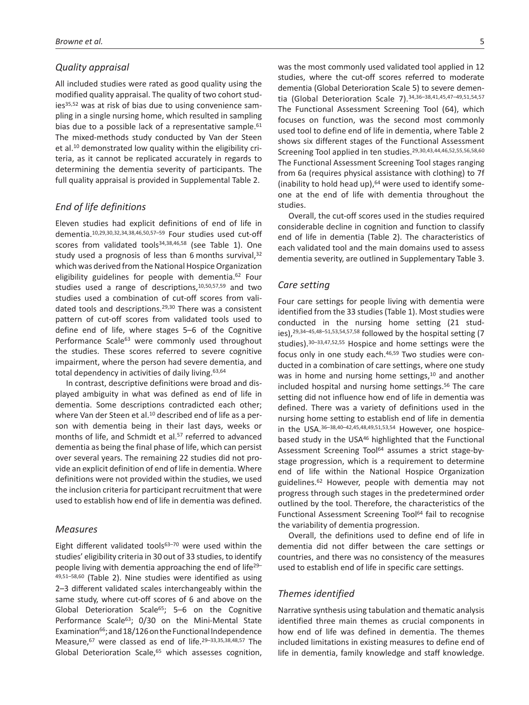# *Quality appraisal*

All included studies were rated as good quality using the modified quality appraisal. The quality of two cohort studies<sup>35,52</sup> was at risk of bias due to using convenience sampling in a single nursing home, which resulted in sampling bias due to a possible lack of a representative sample.<sup>61</sup> The mixed-methods study conducted by Van der Steen et al.10 demonstrated low quality within the eligibility criteria, as it cannot be replicated accurately in regards to determining the dementia severity of participants. The full quality appraisal is provided in Supplemental Table 2.

# *End of life definitions*

Eleven studies had explicit definitions of end of life in dementia.10,29,30,32,34,38,46,50,57–59 Four studies used cut-off scores from validated tools<sup>34,38,46,58</sup> (see Table 1). One study used a prognosis of less than 6 months survival,<sup>32</sup> which was derived from the National Hospice Organization eligibility guidelines for people with dementia. $62$  Four studies used a range of descriptions,10,50,57,59 and two studies used a combination of cut-off scores from validated tools and descriptions.29,30 There was a consistent pattern of cut-off scores from validated tools used to define end of life, where stages 5–6 of the Cognitive Performance Scale<sup>63</sup> were commonly used throughout the studies. These scores referred to severe cognitive impairment, where the person had severe dementia, and total dependency in activities of daily living.<sup>63,64</sup>

In contrast, descriptive definitions were broad and displayed ambiguity in what was defined as end of life in dementia. Some descriptions contradicted each other; where Van der Steen et al.<sup>10</sup> described end of life as a person with dementia being in their last days, weeks or months of life, and Schmidt et al.<sup>57</sup> referred to advanced dementia as being the final phase of life, which can persist over several years. The remaining 22 studies did not provide an explicit definition of end of life in dementia. Where definitions were not provided within the studies, we used the inclusion criteria for participant recruitment that were used to establish how end of life in dementia was defined.

# *Measures*

Eight different validated tools<sup>63-70</sup> were used within the studies' eligibility criteria in 30 out of 33 studies, to identify people living with dementia approaching the end of life29– 49,51–58,60 (Table 2). Nine studies were identified as using 2–3 different validated scales interchangeably within the same study, where cut-off scores of 6 and above on the Global Deterioration Scale<sup>65</sup>; 5–6 on the Cognitive Performance Scale<sup>63</sup>; 0/30 on the Mini-Mental State Examination<sup>66</sup>; and 18/126 on the Functional Independence Measure,67 were classed as end of life.29–33,35,38,48,57 The Global Deterioration Scale,<sup>65</sup> which assesses cognition,

was the most commonly used validated tool applied in 12 studies, where the cut-off scores referred to moderate dementia (Global Deterioration Scale 5) to severe dementia (Global Deterioration Scale 7).<sup>34,36-38,41,45,47-49,51,54,57</sup> The Functional Assessment Screening Tool (64), which focuses on function, was the second most commonly used tool to define end of life in dementia, where Table 2 shows six different stages of the Functional Assessment Screening Tool applied in ten studies.29,30,43,44,46,52,55,56,58,60 The Functional Assessment Screening Tool stages ranging from 6a (requires physical assistance with clothing) to 7f (inability to hold head up), $64$  were used to identify someone at the end of life with dementia throughout the studies.

Overall, the cut-off scores used in the studies required considerable decline in cognition and function to classify end of life in dementia (Table 2). The characteristics of each validated tool and the main domains used to assess dementia severity, are outlined in Supplementary Table 3.

### *Care setting*

Four care settings for people living with dementia were identified from the 33 studies (Table 1). Most studies were conducted in the nursing home setting (21 studies),29,34–45,48–51,53,54,57,58 followed by the hospital setting (7 studies).30–33,47,52,55 Hospice and home settings were the focus only in one study each.46,59 Two studies were conducted in a combination of care settings, where one study was in home and nursing home settings,<sup>10</sup> and another included hospital and nursing home settings.<sup>56</sup> The care setting did not influence how end of life in dementia was defined. There was a variety of definitions used in the nursing home setting to establish end of life in dementia in the USA.36–38,40–42,45,48,49,51,53,54 However, one hospicebased study in the USA<sup>46</sup> highlighted that the Functional Assessment Screening Tool<sup>64</sup> assumes a strict stage-bystage progression, which is a requirement to determine end of life within the National Hospice Organization guidelines.62 However, people with dementia may not progress through such stages in the predetermined order outlined by the tool. Therefore, the characteristics of the Functional Assessment Screening Tool<sup>64</sup> fail to recognise the variability of dementia progression.

Overall, the definitions used to define end of life in dementia did not differ between the care settings or countries, and there was no consistency of the measures used to establish end of life in specific care settings.

### *Themes identified*

Narrative synthesis using tabulation and thematic analysis identified three main themes as crucial components in how end of life was defined in dementia. The themes included limitations in existing measures to define end of life in dementia, family knowledge and staff knowledge.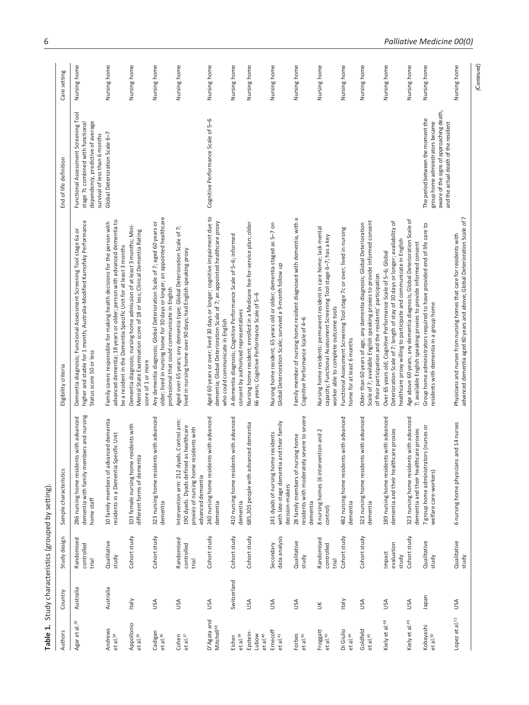|                                           |             | Table 1. Study characteristics (grouped by setting) |                                                                                                                                                    |                                                                                                                                                                                                                          |                                                                                                                                                           |              |
|-------------------------------------------|-------------|-----------------------------------------------------|----------------------------------------------------------------------------------------------------------------------------------------------------|--------------------------------------------------------------------------------------------------------------------------------------------------------------------------------------------------------------------------|-----------------------------------------------------------------------------------------------------------------------------------------------------------|--------------|
| Authors                                   | Country     | Study design                                        | Sample characteristics                                                                                                                             | Eligibility criteria                                                                                                                                                                                                     | End of life definition                                                                                                                                    | Care setting |
| Agar et al. <sup>29</sup>                 | Australia   | Randomised<br>controlled<br>trial                   | dementia with family members and nursing<br>286 nursing home residents with advanced<br>home staff                                                 | higher and stable for 1 month; Australia-Modified Karnofsky Performance<br>Dementia diagnosis; Functional Assessment Screening Tool stage 6a or<br>Status score 50 or less                                               | Functional Assessment Screening Tool<br>dependency, predictive of average<br>stage 7c combined with functional<br>survival of less than 6 months          | Nursing home |
| Andrews<br>et al. <sup>34</sup>           | Australia   | Qualitative<br>study                                | 10 family members of advanced dementia<br>residents in a Dementia Specific Unit                                                                    | advanced dementia; 18 years or older; person with advanced dementia to<br>Family carers responsible for making health decisions for the person with<br>be a resident in the Dementia Specific Unit for at least 3 months | Global Deterioration Scale 6-7                                                                                                                            | Nursing home |
| Appollonio<br>et al. 35                   | Italy       | Cohort study                                        | 103 female nursing home residents with<br>tia<br>different forms of demen                                                                          | Dementia diagnosis; nursing home admission of at least 3 months; Mini-<br>Mental State Examination score of 18 or less; Clinical Dementia Rating<br>score of 1 or more                                                   |                                                                                                                                                           | Nursing home |
| Cadigan<br>et al. <sup>36</sup>           | USA         | Cohort study                                        | 323 nursing home residents with advanced<br>dementia                                                                                               | older; lived in nursing home for 30 days or longer; an appointed healthcare<br>Any dementia diagnosis; Global Deterioration Scale of 7; aged 60 years or<br>professional that could communicate in English               |                                                                                                                                                           | Nursing home |
| Cohen<br>et al. <sup>37</sup>             | USA         | Randomised<br>controlled<br>trial                   | Intervention arm: 212 dyads. Control arm:<br>190 dyads. Dyads defined as healthcare<br>proxies of nursing home residents with<br>advanced dementia | Aged over 65 years; any dementia type; Global Deterioration Scale of 7;<br>lived in nursing home over 90 days; had English speaking proxy                                                                                |                                                                                                                                                           | Nursing home |
| D'Agata and<br>Mitchell <sup>38</sup>     | USA         | Cohort study                                        | 240 nursing home residents with advanced<br>dementia                                                                                               | Aged 60 years or over; lived 30 days or longer; cognitive impairment due to<br>dementia; Global Deterioration Scale of 7; an appointed healthcare proxy<br>who could communicate in English                              | Cognitive Performance Scale of 5-6                                                                                                                        | Nursing home |
| et al. <sup>39</sup><br>Eicher            | Switzerland | Cohort study                                        | 410 nursing home residents with advanced<br>dementia                                                                                               | A dementia diagnosis; Cognitive Performance Scale of 5-6; informed<br>consent by authorised representatives                                                                                                              |                                                                                                                                                           | Nursing home |
| Epstein-<br>Lubow<br>et al. <sup>40</sup> | USA         | Cohort study                                        | 685,305 people with advanced dementia                                                                                                              | Nursing home resident; enrolled in a Medicare fee-for-service plan; older<br>66 years; Cognitive Performance Scale of 5-6                                                                                                |                                                                                                                                                           | Nursing home |
| Ernecoff<br>et al. <sup>41</sup>          | USA         | data analysis<br>Secondary                          | with late-stage dementia and their family<br>241 dyads of nursing home residents<br>decision-makers                                                | Nursing home resident; 65 years old or older; dementia staged as 5-7 on<br>Global Deterioration Scale; survived a 9-month follow up                                                                                      |                                                                                                                                                           | Nursing home |
| Forbes<br>$et$ al. $42$                   | USA         | Qualitative<br>study                                | residents with moderately severe to severe<br>28 family members of nursing home<br>dementia                                                        | Family member of nursing home resident diagnosed with dementia, with a<br>Cognitive Performance Scale of 4-6                                                                                                             |                                                                                                                                                           | Nursing home |
| Froggatt<br>et al. <sup>43</sup>          | $\leq$      | Randomised<br>controlled<br>trial                   | 8 nursing homes (6 intervention and 2<br>control)                                                                                                  | Nursing home residents: permanent resident in care home; lack mental<br>capacity; Functional Assessment Screening Tool stage 6-7; has a key<br>worker able to complete outcome tools                                     |                                                                                                                                                           | Nursing home |
| Di Giulio<br>et al. <sup>44</sup>         | Italy       | Cohort study                                        | 482 nursing home residents with advanced<br>dementia                                                                                               | Functional Assessment Screening Tool stage 7c or over; lived in nursing<br>home for at least 6 months                                                                                                                    |                                                                                                                                                           | Nursing home |
| Goldfeld<br>et al. <sup>45</sup>          | USA         | Cohort study                                        | 323 nursing home residents with advanced<br>dementia                                                                                               | Scale of 7; available English speaking proxies to provide informed consent<br>Older than 60 years of age; any dementia diagnosis; Global Deterioration<br>of their participation and the residents' participation        |                                                                                                                                                           | Nursing home |
| Kiely et al. <sup>48</sup>                | USA         | evaluation<br>Impact<br>study                       | 189 nursing home residents with advanced<br>dementia and their healthcare proxies                                                                  | Deterioration Scale of 7; length of stay of 30 days or longer; availability of<br>healthcare proxy willing to participate and communicate in English<br>Over 65 years old; Cognitive Performance Scale of 5-6; Global    |                                                                                                                                                           | Nursing home |
| Kiely et al. <sup>49</sup>                | USA         | Cohort study                                        | 323 nursing home residents with advanced<br>dementia and their healthcare proxies                                                                  | Age above 60 years; any dementia diagnosis; Global Deterioration Scale of<br>7; available English speaking proxies to provide informed consent                                                                           |                                                                                                                                                           | Nursing home |
| Kobayashi<br>et al. <sup>50</sup>         | napan       | Qualitative<br>study                                | 7 group home administrators (nurses or<br>welfare care-workers)                                                                                    | Group home administrators required to have provided end of life care to<br>residents with dementia in a group home                                                                                                       | aware of the signs of approaching death,<br>The period between the moment the<br>group home administrators became<br>and the actual death of the resident | Nursing home |
| Lopez et al. <sup>51</sup>                | USA         | Qualitative<br>study                                | 6 nursing home physicians and 14 nurses                                                                                                            | advanced dementia aged 60 years and above; Global Deterioration Scale of 7<br>Physicians and nurses from nursing homes that care for residents with                                                                      |                                                                                                                                                           | Nursing home |
|                                           |             |                                                     |                                                                                                                                                    |                                                                                                                                                                                                                          |                                                                                                                                                           |              |

 *(Continued)*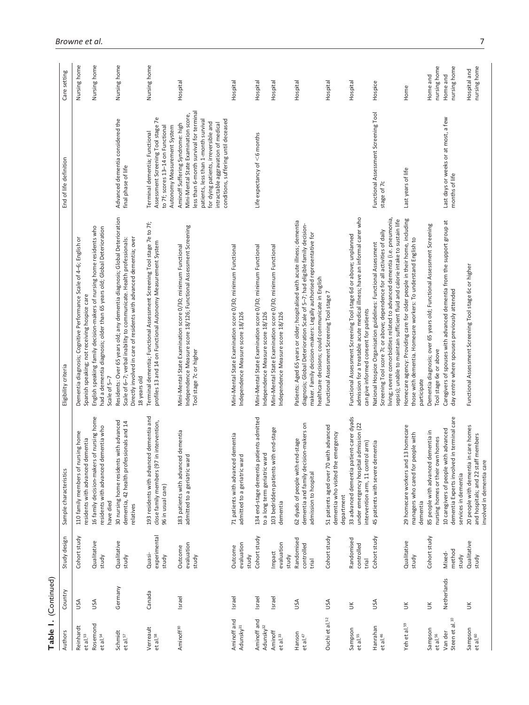| Table 1. (Continued)                  |             |                                   |                                                                                                                         |                                                                                                                                                                                                                                                                                                              |                                                                                                                                                                                                                                                                                  |                              |
|---------------------------------------|-------------|-----------------------------------|-------------------------------------------------------------------------------------------------------------------------|--------------------------------------------------------------------------------------------------------------------------------------------------------------------------------------------------------------------------------------------------------------------------------------------------------------|----------------------------------------------------------------------------------------------------------------------------------------------------------------------------------------------------------------------------------------------------------------------------------|------------------------------|
| Authors                               | Country     | Study design                      | Sample characteristics                                                                                                  | Eligibility criteria                                                                                                                                                                                                                                                                                         | End of life definition                                                                                                                                                                                                                                                           | Care setting                 |
| Reinhardt<br>et al. <sup>53</sup>     | USA         | Cohort study                      | 110 family members of nursing home<br>residents with advanced dementia                                                  | Dementia diagnosis; Cognitive Performance Scale of 4-6; English or<br>Spanish speaking; not receiving hospice care                                                                                                                                                                                           |                                                                                                                                                                                                                                                                                  | Nursing home                 |
| Rosemond<br>et al. <sup>54</sup>      | USA         | Qualitative<br>study              | 16 family decision-makers of nursing home<br>residents with advanced dementia who<br>have died                          | English speaking family decision-makers of nursing home residents who<br>had a dementia diagnosis; older than 65 years old; Global Deterioration<br>Scale of 5-7                                                                                                                                             |                                                                                                                                                                                                                                                                                  | Nursing home                 |
| Schmidt<br>et al. <sup>57</sup>       | Germany     | Qualitative<br>study              | 30 nursing home residents with advanced<br>dementia, 42 health professionals and 14<br>relatives                        | Residents: Over 65 years old; any dementia diagnosis; Global Deterioration<br>Scale of 6-7; verbal inability to communicate. Health professionals:<br>Directly involved in care of residents with advanced dementia; over<br>18 years old                                                                    | Advanced dementia considered the<br>final phase of life                                                                                                                                                                                                                          | Nursing home                 |
| Verreault<br>et al. <sup>58</sup>     | Canada      | experimental<br>Quasi-<br>study   | 193 residents with advanced dementia and<br>in intervention,<br>close family members (97<br>96 in usual care)           | Terminal dementia; Functional Assessment Screening Tool stage 7e to 7f;<br>profiles 13 and 14 on Functional Autonomy Measurement System                                                                                                                                                                      | Assessment Screening Tool stage 7e<br>to 7f; scores 13-14 on Functional<br>Autonomy Measurement System<br>Terminal dementia; Functional                                                                                                                                          | Nursing home                 |
| Aminoff <sup>30</sup>                 | Israel      | evaluation<br>Outcome<br>study    | 183 patients with advanced dementia<br>admitted to a geriatric ward                                                     | Independence Measure score 18/126; Functional Assessment Screening<br>Mini-Mental State Examination score 0/30; minimum Functional<br>Tool stage 7c or higher                                                                                                                                                | less than 6-month survival for terminal<br>Mini-Mental State Examination score,<br>conditions, suffering until deceased<br>patients, less than 1-month surviva<br>for dying patients, irreversible and<br>intractable aggravation of medical<br>Aminoff Suffering Syndrome: high | Hospital                     |
| Aminoff and<br>Adunsky <sup>31</sup>  | Israel      | evaluation<br>Outcome<br>study    | 71 patients with advanced dementia<br>admitted to a geriatric ward                                                      | Mini-Mental State Examination score 0/30; minimum Functional<br>Independence Measure score 18/126                                                                                                                                                                                                            |                                                                                                                                                                                                                                                                                  | Hospital                     |
| Aminoff and<br>Adunsky <sup>32</sup>  | Israel      | Cohort study                      | 134 end-stage dementia patients admitted<br>to a long term geriatric ward                                               | Mini-Mental State Examination score 0/30; minimum Functional<br>Independence Measure score 18/126                                                                                                                                                                                                            | Life expectancy of $<$ 6 months                                                                                                                                                                                                                                                  | Hospital                     |
| Aminoff<br>et al. <sup>33</sup>       | Israel      | evaluation<br>Impact<br>study     | 103 bedridden patients with end-stage<br>dementia                                                                       | Mini-Mental State Examination score 0/30; minimum Functional<br>Independence Measure score 18/126                                                                                                                                                                                                            |                                                                                                                                                                                                                                                                                  | Hospital                     |
| Hanson<br>et al. <sup>47</sup>        | USA         | Randomised<br>controlled<br>trial | dementia and family decision-makers on<br>62 dyads of people with end-stage<br>admission to hospital                    | Patients: Aged 65 years or older; hospitalised with acute illness; dementia<br>diagnosis; Global Deterioration Scale of 5-7; had eligible family decision-<br>maker. Family decision-makers: Legally authorised representative for<br>healthcare decisions; could communicate in English                     |                                                                                                                                                                                                                                                                                  | Hospital                     |
| Ouchi et al. <sup>52</sup>            | USA         | Cohort study                      | with advanced<br>emergency<br>dementia who visited the<br>51 patients aged over 70<br>department                        | Functional Assessment Screening Tool stage 7                                                                                                                                                                                                                                                                 |                                                                                                                                                                                                                                                                                  | Hospital                     |
| Sampson<br>et al. 55                  | $\preceq$   | Randomised<br>controlled<br>trial | 33 advanced dementia patient-carer dyads<br>under emergency hospital admission (22<br>intervention arm, 11 control arm) | admission for a treatable acute medical illness; have an informal carer who<br>Functional Assessment Screening Tool stage 6d or above; unplanned<br>can give informed consent for patients                                                                                                                   |                                                                                                                                                                                                                                                                                  | Hospital                     |
| Hanrahan<br>et al. <sup>46</sup>      | USA         | Cohort study                      | 45 patients with severe dementia                                                                                        | living; severe comorbidities related to advanced dementia (i.e. pneumonia,<br>sepsis); unable to maintain sufficient fluid and calorie intake to sustain life<br>Screening Tool score 7c or above; dependence for all activities of daily<br>National Hospice Organisation guidelines: Functional Assessment | Functional Assessment Screening Tool<br>stage of 7c                                                                                                                                                                                                                              | Hospice                      |
| Yeh et al. <sup>59</sup>              | š           | Qualitative<br>study              | 29 homecare workers and 13 homecare<br>managers who cared for people with<br>dementia                                   | Homecare agency: Providing care for older people in their home, including<br>those with dementia. Homecare workers: To understand English to<br>participate                                                                                                                                                  | Last years of life                                                                                                                                                                                                                                                               | Home                         |
| Sampson<br>et al. <sup>56</sup>       | $\leq$      | Cohort study                      | 85 people with advanced dementia in<br>nursing homes or their own homes                                                 | Dementia diagnosis; over 65 years old; Functional Assessment Screening<br>Tool stage 6e or above                                                                                                                                                                                                             |                                                                                                                                                                                                                                                                                  | nursing home<br>Home and     |
| Steen et al. <sup>10</sup><br>Van der | Netherlands | method<br>Mixed-<br>study         | dementia Experts involved in terminal care<br>10 caregivers of people with advanced<br>services in dementia             | Caregivers of spouses with advanced dementia from the support group at<br>day centre where spouses previously attended                                                                                                                                                                                       | Last days or weeks or at most, a few<br>months of life                                                                                                                                                                                                                           | nursing home<br>Home and     |
| Sampson<br>et al. <sup>60</sup>       | š           | Qualitative<br>study              | 20 people with dementia in care homes<br>and hospitals; and 22 staff members<br>involved in dementia care               | Functional Assessment Screening Tool stage 6c or higher                                                                                                                                                                                                                                                      |                                                                                                                                                                                                                                                                                  | nursing home<br>Hospital and |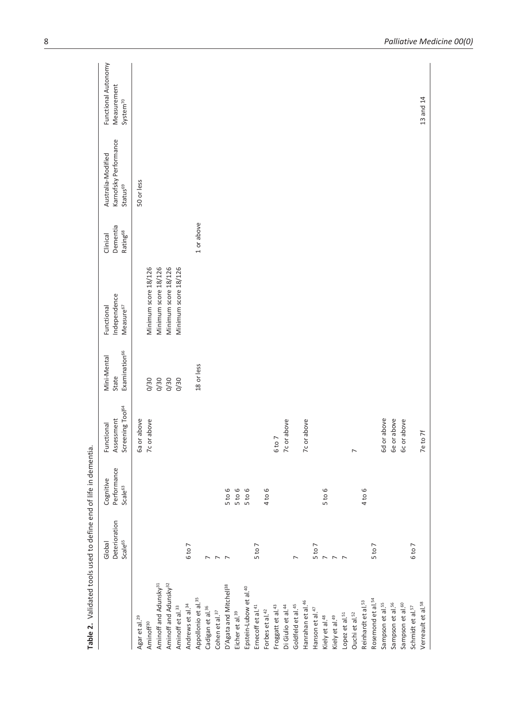| 6 to 7<br>$5$ to $7$<br>$\overline{ }$<br>$\overline{ }$<br>$\overline{ }$<br>$\overline{ }$<br>Aminoff and Adunsky <sup>32</sup><br>Aminoff and Adunsky <sup>31</sup><br>D'Agata and Mitchell <sup>38</sup><br>Epstein-Lubow et al. <sup>40</sup><br>Appollonio et al. <sup>35</sup><br>Andrews et al. <sup>34</sup><br>Goldfeld et al. <sup>45</sup><br>Di Giulio et al. <sup>44</sup><br>Froggatt et al. <sup>43</sup><br>Aminoff et al. <sup>33</sup><br>Cadigan et al. <sup>36</sup><br>Ernecoff et al. <sup>41</sup><br>Forbes et al. <sup>42</sup><br>Cohen et al. <sup>37</sup><br>Eicher et al. <sup>39</sup><br>Agar et al. <sup>29</sup><br>Aminoff <sup>30</sup> |                            | Screening Tool <sup>64</sup> | Examination <sup>66</sup><br>State | Independence<br>Measure <sup>67</sup> | Dementia<br>Rating <sup>68</sup> | Karnofsky Performance<br>Status <sup>69</sup> | Measurement<br>System <sup>70</sup> |
|------------------------------------------------------------------------------------------------------------------------------------------------------------------------------------------------------------------------------------------------------------------------------------------------------------------------------------------------------------------------------------------------------------------------------------------------------------------------------------------------------------------------------------------------------------------------------------------------------------------------------------------------------------------------------|----------------------------|------------------------------|------------------------------------|---------------------------------------|----------------------------------|-----------------------------------------------|-------------------------------------|
|                                                                                                                                                                                                                                                                                                                                                                                                                                                                                                                                                                                                                                                                              |                            | Ga or above                  |                                    |                                       |                                  | 50 or less                                    |                                     |
|                                                                                                                                                                                                                                                                                                                                                                                                                                                                                                                                                                                                                                                                              |                            | 7c or above                  | 0/30                               | Minimum score 18/126                  |                                  |                                               |                                     |
|                                                                                                                                                                                                                                                                                                                                                                                                                                                                                                                                                                                                                                                                              |                            |                              |                                    | Minimum score 18/126                  |                                  |                                               |                                     |
|                                                                                                                                                                                                                                                                                                                                                                                                                                                                                                                                                                                                                                                                              |                            |                              | 0/30<br>0/30<br>0/30               | Minimum score 18/126                  |                                  |                                               |                                     |
|                                                                                                                                                                                                                                                                                                                                                                                                                                                                                                                                                                                                                                                                              |                            |                              |                                    | Minimum score 18/126                  |                                  |                                               |                                     |
|                                                                                                                                                                                                                                                                                                                                                                                                                                                                                                                                                                                                                                                                              |                            |                              |                                    |                                       |                                  |                                               |                                     |
|                                                                                                                                                                                                                                                                                                                                                                                                                                                                                                                                                                                                                                                                              |                            |                              | 18 or less                         |                                       | 1 or above                       |                                               |                                     |
|                                                                                                                                                                                                                                                                                                                                                                                                                                                                                                                                                                                                                                                                              |                            |                              |                                    |                                       |                                  |                                               |                                     |
|                                                                                                                                                                                                                                                                                                                                                                                                                                                                                                                                                                                                                                                                              |                            |                              |                                    |                                       |                                  |                                               |                                     |
|                                                                                                                                                                                                                                                                                                                                                                                                                                                                                                                                                                                                                                                                              | 5 to 6                     |                              |                                    |                                       |                                  |                                               |                                     |
|                                                                                                                                                                                                                                                                                                                                                                                                                                                                                                                                                                                                                                                                              | 5 to 6                     |                              |                                    |                                       |                                  |                                               |                                     |
|                                                                                                                                                                                                                                                                                                                                                                                                                                                                                                                                                                                                                                                                              | 5 to 6                     |                              |                                    |                                       |                                  |                                               |                                     |
|                                                                                                                                                                                                                                                                                                                                                                                                                                                                                                                                                                                                                                                                              |                            |                              |                                    |                                       |                                  |                                               |                                     |
|                                                                                                                                                                                                                                                                                                                                                                                                                                                                                                                                                                                                                                                                              | $\circ$<br>4 <sup>10</sup> |                              |                                    |                                       |                                  |                                               |                                     |
|                                                                                                                                                                                                                                                                                                                                                                                                                                                                                                                                                                                                                                                                              |                            | 6 to 7                       |                                    |                                       |                                  |                                               |                                     |
|                                                                                                                                                                                                                                                                                                                                                                                                                                                                                                                                                                                                                                                                              |                            | 7c or above                  |                                    |                                       |                                  |                                               |                                     |
|                                                                                                                                                                                                                                                                                                                                                                                                                                                                                                                                                                                                                                                                              |                            |                              |                                    |                                       |                                  |                                               |                                     |
| Hanrahan et al. <sup>46</sup>                                                                                                                                                                                                                                                                                                                                                                                                                                                                                                                                                                                                                                                |                            | 7c or above                  |                                    |                                       |                                  |                                               |                                     |
| 5 to 7<br>Hanson et al. <sup>47</sup>                                                                                                                                                                                                                                                                                                                                                                                                                                                                                                                                                                                                                                        |                            |                              |                                    |                                       |                                  |                                               |                                     |
| $\overline{ }$<br>Kiely et al. <sup>48</sup>                                                                                                                                                                                                                                                                                                                                                                                                                                                                                                                                                                                                                                 | 6<br>5 <sub>to</sub>       |                              |                                    |                                       |                                  |                                               |                                     |
| $\sim$<br>Kiely et al. <sup>49</sup>                                                                                                                                                                                                                                                                                                                                                                                                                                                                                                                                                                                                                                         |                            |                              |                                    |                                       |                                  |                                               |                                     |
| $\overline{a}$<br>Lopez et al. <sup>51</sup>                                                                                                                                                                                                                                                                                                                                                                                                                                                                                                                                                                                                                                 |                            |                              |                                    |                                       |                                  |                                               |                                     |
| Ouchi et al. <sup>52</sup>                                                                                                                                                                                                                                                                                                                                                                                                                                                                                                                                                                                                                                                   |                            | $\overline{ }$               |                                    |                                       |                                  |                                               |                                     |
| Reinhardt et al. <sup>53</sup>                                                                                                                                                                                                                                                                                                                                                                                                                                                                                                                                                                                                                                               | 4 to 6                     |                              |                                    |                                       |                                  |                                               |                                     |
| 5 to 7<br>Rosemond et al. <sup>54</sup>                                                                                                                                                                                                                                                                                                                                                                                                                                                                                                                                                                                                                                      |                            |                              |                                    |                                       |                                  |                                               |                                     |
| Sampson et al. <sup>55</sup>                                                                                                                                                                                                                                                                                                                                                                                                                                                                                                                                                                                                                                                 |                            | 6d or above                  |                                    |                                       |                                  |                                               |                                     |
| Sampson et al. <sup>56</sup>                                                                                                                                                                                                                                                                                                                                                                                                                                                                                                                                                                                                                                                 |                            | 6e or above                  |                                    |                                       |                                  |                                               |                                     |
| Sampson et al. <sup>60</sup>                                                                                                                                                                                                                                                                                                                                                                                                                                                                                                                                                                                                                                                 |                            | 6c or above                  |                                    |                                       |                                  |                                               |                                     |
| 6 to 7<br>Schmidt et al. <sup>57</sup>                                                                                                                                                                                                                                                                                                                                                                                                                                                                                                                                                                                                                                       |                            |                              |                                    |                                       |                                  |                                               |                                     |
| Verreault et al. <sup>58</sup>                                                                                                                                                                                                                                                                                                                                                                                                                                                                                                                                                                                                                                               |                            | 7e to 7f                     |                                    |                                       |                                  |                                               | 13 and 14                           |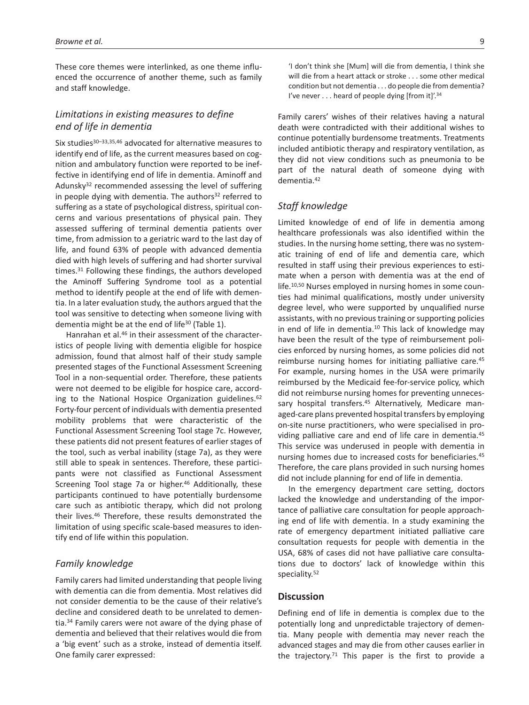These core themes were interlinked, as one theme influenced the occurrence of another theme, such as family and staff knowledge.

# *Limitations in existing measures to define end of life in dementia*

Six studies<sup>30-33,35,46</sup> advocated for alternative measures to identify end of life, as the current measures based on cognition and ambulatory function were reported to be ineffective in identifying end of life in dementia. Aminoff and Adunsky32 recommended assessing the level of suffering in people dying with dementia. The authors $32$  referred to suffering as a state of psychological distress, spiritual concerns and various presentations of physical pain. They assessed suffering of terminal dementia patients over time, from admission to a geriatric ward to the last day of life, and found 63% of people with advanced dementia died with high levels of suffering and had shorter survival times.31 Following these findings, the authors developed the Aminoff Suffering Syndrome tool as a potential method to identify people at the end of life with dementia. In a later evaluation study, the authors argued that the tool was sensitive to detecting when someone living with dementia might be at the end of life<sup>30</sup> (Table 1).

Hanrahan et al.<sup>46</sup> in their assessment of the characteristics of people living with dementia eligible for hospice admission, found that almost half of their study sample presented stages of the Functional Assessment Screening Tool in a non-sequential order. Therefore, these patients were not deemed to be eligible for hospice care, according to the National Hospice Organization guidelines.<sup>62</sup> Forty-four percent of individuals with dementia presented mobility problems that were characteristic of the Functional Assessment Screening Tool stage 7c. However, these patients did not present features of earlier stages of the tool, such as verbal inability (stage 7a), as they were still able to speak in sentences. Therefore, these participants were not classified as Functional Assessment Screening Tool stage 7a or higher.<sup>46</sup> Additionally, these participants continued to have potentially burdensome care such as antibiotic therapy, which did not prolong their lives.46 Therefore, these results demonstrated the limitation of using specific scale-based measures to identify end of life within this population.

### *Family knowledge*

Family carers had limited understanding that people living with dementia can die from dementia. Most relatives did not consider dementia to be the cause of their relative's decline and considered death to be unrelated to dementia.34 Family carers were not aware of the dying phase of dementia and believed that their relatives would die from a 'big event' such as a stroke, instead of dementia itself. One family carer expressed:

'I don't think she [Mum] will die from dementia, I think she will die from a heart attack or stroke . . . some other medical condition but not dementia . . . do people die from dementia? I've never . . . heard of people dying [from it]'.<sup>34</sup>

Family carers' wishes of their relatives having a natural death were contradicted with their additional wishes to continue potentially burdensome treatments. Treatments included antibiotic therapy and respiratory ventilation, as they did not view conditions such as pneumonia to be part of the natural death of someone dying with dementia.42

### *Staff knowledge*

Limited knowledge of end of life in dementia among healthcare professionals was also identified within the studies. In the nursing home setting, there was no systematic training of end of life and dementia care, which resulted in staff using their previous experiences to estimate when a person with dementia was at the end of life.10,50 Nurses employed in nursing homes in some counties had minimal qualifications, mostly under university degree level, who were supported by unqualified nurse assistants, with no previous training or supporting policies in end of life in dementia.<sup>10</sup> This lack of knowledge may have been the result of the type of reimbursement policies enforced by nursing homes, as some policies did not reimburse nursing homes for initiating palliative care.45 For example, nursing homes in the USA were primarily reimbursed by the Medicaid fee-for-service policy, which did not reimburse nursing homes for preventing unnecessary hospital transfers.<sup>45</sup> Alternatively, Medicare managed-care plans prevented hospital transfers by employing on-site nurse practitioners, who were specialised in providing palliative care and end of life care in dementia.45 This service was underused in people with dementia in nursing homes due to increased costs for beneficiaries.45 Therefore, the care plans provided in such nursing homes did not include planning for end of life in dementia.

In the emergency department care setting, doctors lacked the knowledge and understanding of the importance of palliative care consultation for people approaching end of life with dementia. In a study examining the rate of emergency department initiated palliative care consultation requests for people with dementia in the USA, 68% of cases did not have palliative care consultations due to doctors' lack of knowledge within this speciality.52

#### **Discussion**

Defining end of life in dementia is complex due to the potentially long and unpredictable trajectory of dementia. Many people with dementia may never reach the advanced stages and may die from other causes earlier in the trajectory.<sup>71</sup> This paper is the first to provide a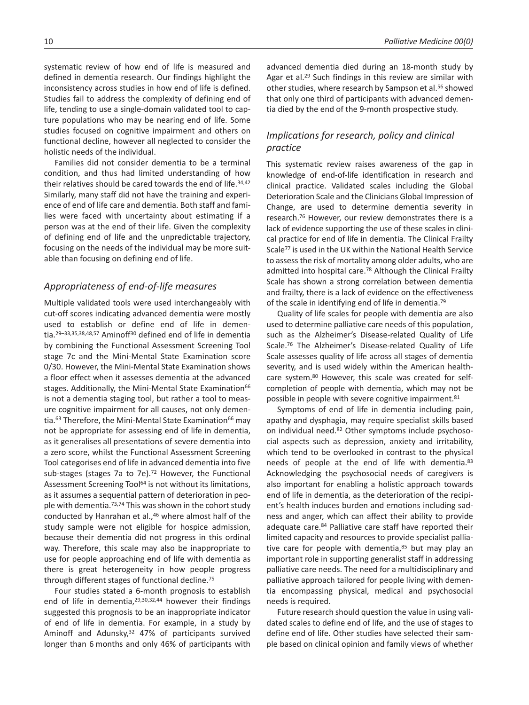10 *Palliative Medicine 00(0)*

systematic review of how end of life is measured and defined in dementia research. Our findings highlight the inconsistency across studies in how end of life is defined. Studies fail to address the complexity of defining end of life, tending to use a single-domain validated tool to capture populations who may be nearing end of life. Some studies focused on cognitive impairment and others on functional decline, however all neglected to consider the holistic needs of the individual.

Families did not consider dementia to be a terminal condition, and thus had limited understanding of how their relatives should be cared towards the end of life.<sup>34,42</sup> Similarly, many staff did not have the training and experience of end of life care and dementia. Both staff and families were faced with uncertainty about estimating if a person was at the end of their life. Given the complexity of defining end of life and the unpredictable trajectory, focusing on the needs of the individual may be more suitable than focusing on defining end of life.

# *Appropriateness of end-of-life measures*

Multiple validated tools were used interchangeably with cut-off scores indicating advanced dementia were mostly used to establish or define end of life in dementia.29–33,35,38,48,57 Aminoff30 defined end of life in dementia by combining the Functional Assessment Screening Tool stage 7c and the Mini-Mental State Examination score 0/30. However, the Mini-Mental State Examination shows a floor effect when it assesses dementia at the advanced stages. Additionally, the Mini-Mental State Examination<sup>66</sup> is not a dementia staging tool, but rather a tool to measure cognitive impairment for all causes, not only dementia.<sup>63</sup> Therefore, the Mini-Mental State Examination<sup>66</sup> may not be appropriate for assessing end of life in dementia, as it generalises all presentations of severe dementia into a zero score, whilst the Functional Assessment Screening Tool categorises end of life in advanced dementia into five sub-stages (stages 7a to 7e).<sup>72</sup> However, the Functional Assessment Screening Tool<sup>64</sup> is not without its limitations, as it assumes a sequential pattern of deterioration in people with dementia.<sup>73,74</sup> This was shown in the cohort study conducted by Hanrahan et al.,46 where almost half of the study sample were not eligible for hospice admission, because their dementia did not progress in this ordinal way. Therefore, this scale may also be inappropriate to use for people approaching end of life with dementia as there is great heterogeneity in how people progress through different stages of functional decline.75

Four studies stated a 6-month prognosis to establish end of life in dementia, 29,30,32,44 however their findings suggested this prognosis to be an inappropriate indicator of end of life in dementia. For example, in a study by Aminoff and Adunsky,<sup>32</sup> 47% of participants survived longer than 6 months and only 46% of participants with advanced dementia died during an 18-month study by Agar et al.29 Such findings in this review are similar with other studies, where research by Sampson et al.<sup>56</sup> showed that only one third of participants with advanced dementia died by the end of the 9-month prospective study.

# *Implications for research, policy and clinical practice*

This systematic review raises awareness of the gap in knowledge of end-of-life identification in research and clinical practice. Validated scales including the Global Deterioration Scale and the Clinicians Global Impression of Change, are used to determine dementia severity in research.76 However, our review demonstrates there is a lack of evidence supporting the use of these scales in clinical practice for end of life in dementia. The Clinical Frailty Scale77 is used in the UK within the National Health Service to assess the risk of mortality among older adults, who are admitted into hospital care.78 Although the Clinical Frailty Scale has shown a strong correlation between dementia and frailty, there is a lack of evidence on the effectiveness of the scale in identifying end of life in dementia.79

Quality of life scales for people with dementia are also used to determine palliative care needs of this population, such as the Alzheimer's Disease-related Quality of Life Scale.76 The Alzheimer's Disease-related Quality of Life Scale assesses quality of life across all stages of dementia severity, and is used widely within the American healthcare system.80 However, this scale was created for selfcompletion of people with dementia, which may not be possible in people with severe cognitive impairment.<sup>81</sup>

Symptoms of end of life in dementia including pain, apathy and dysphagia, may require specialist skills based on individual need.82 Other symptoms include psychosocial aspects such as depression, anxiety and irritability, which tend to be overlooked in contrast to the physical needs of people at the end of life with dementia.<sup>83</sup> Acknowledging the psychosocial needs of caregivers is also important for enabling a holistic approach towards end of life in dementia, as the deterioration of the recipient's health induces burden and emotions including sadness and anger, which can affect their ability to provide adequate care.<sup>84</sup> Palliative care staff have reported their limited capacity and resources to provide specialist palliative care for people with dementia, $85$  but may play an important role in supporting generalist staff in addressing palliative care needs. The need for a multidisciplinary and palliative approach tailored for people living with dementia encompassing physical, medical and psychosocial needs is required.

Future research should question the value in using validated scales to define end of life, and the use of stages to define end of life. Other studies have selected their sample based on clinical opinion and family views of whether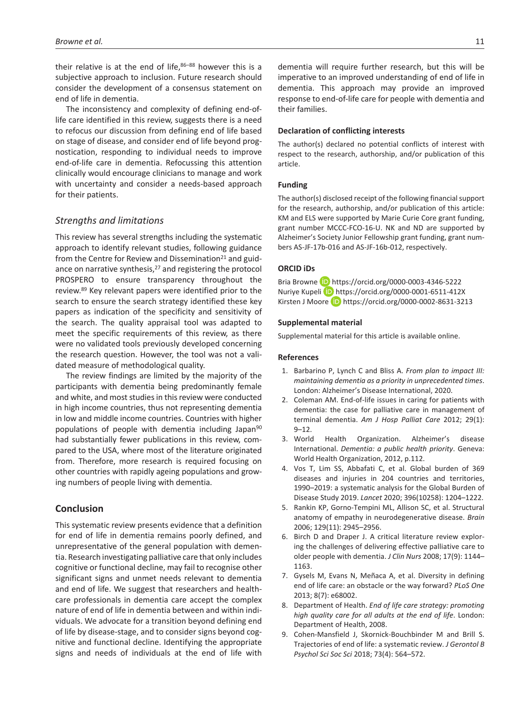their relative is at the end of life, $86-88$  however this is a subjective approach to inclusion. Future research should consider the development of a consensus statement on end of life in dementia.

The inconsistency and complexity of defining end-oflife care identified in this review, suggests there is a need to refocus our discussion from defining end of life based on stage of disease, and consider end of life beyond prognostication, responding to individual needs to improve end-of-life care in dementia. Refocussing this attention clinically would encourage clinicians to manage and work with uncertainty and consider a needs-based approach for their patients.

# *Strengths and limitations*

This review has several strengths including the systematic approach to identify relevant studies, following guidance from the Centre for Review and Dissemination<sup>21</sup> and guidance on narrative synthesis,<sup>27</sup> and registering the protocol PROSPERO to ensure transparency throughout the review.89 Key relevant papers were identified prior to the search to ensure the search strategy identified these key papers as indication of the specificity and sensitivity of the search. The quality appraisal tool was adapted to meet the specific requirements of this review, as there were no validated tools previously developed concerning the research question. However, the tool was not a validated measure of methodological quality.

The review findings are limited by the majority of the participants with dementia being predominantly female and white, and most studies in this review were conducted in high income countries, thus not representing dementia in low and middle income countries. Countries with higher populations of people with dementia including Japan<sup>90</sup> had substantially fewer publications in this review, compared to the USA, where most of the literature originated from. Therefore, more research is required focusing on other countries with rapidly ageing populations and growing numbers of people living with dementia.

# **Conclusion**

This systematic review presents evidence that a definition for end of life in dementia remains poorly defined, and unrepresentative of the general population with dementia. Research investigating palliative care that only includes cognitive or functional decline, may fail to recognise other significant signs and unmet needs relevant to dementia and end of life. We suggest that researchers and healthcare professionals in dementia care accept the complex nature of end of life in dementia between and within individuals. We advocate for a transition beyond defining end of life by disease-stage, and to consider signs beyond cognitive and functional decline. Identifying the appropriate signs and needs of individuals at the end of life with

dementia will require further research, but this will be imperative to an improved understanding of end of life in dementia. This approach may provide an improved response to end-of-life care for people with dementia and their families.

#### **Declaration of conflicting interests**

The author(s) declared no potential conflicts of interest with respect to the research, authorship, and/or publication of this article.

#### **Funding**

The author(s) disclosed receipt of the following financial support for the research, authorship, and/or publication of this article: KM and ELS were supported by Marie Curie Core grant funding, grant number MCCC-FCO-16-U. NK and ND are supported by Alzheimer's Society Junior Fellowship grant funding, grant numbers AS-JF-17b-016 and AS-JF-16b-012, respectively.

### **ORCID iDs**

Bria Browne **iD** <https://orcid.org/0000-0003-4346-5222> Nuriye Kupeli <https://orcid.org/0000-0001-6511-412X> Kirsten J Moore **iD** <https://orcid.org/0000-0002-8631-3213>

#### **Supplemental material**

Supplemental material for this article is available online.

#### **References**

- 1. Barbarino P, Lynch C and Bliss A. *From plan to impact III: maintaining dementia as a priority in unprecedented times*. London: Alzheimer's Disease International, 2020.
- 2. Coleman AM. End-of-life issues in caring for patients with dementia: the case for palliative care in management of terminal dementia. *Am J Hosp Palliat Care* 2012; 29(1): 9–12.
- 3. World Health Organization. Alzheimer's disease International. *Dementia: a public health priority*. Geneva: World Health Organization, 2012, p.112.
- Vos T, Lim SS, Abbafati C, et al. Global burden of 369 diseases and injuries in 204 countries and territories, 1990–2019: a systematic analysis for the Global Burden of Disease Study 2019. *Lancet* 2020; 396(10258): 1204–1222.
- 5. Rankin KP, Gorno-Tempini ML, Allison SC, et al. Structural anatomy of empathy in neurodegenerative disease. *Brain* 2006; 129(11): 2945–2956.
- 6. Birch D and Draper J. A critical literature review exploring the challenges of delivering effective palliative care to older people with dementia. *J Clin Nurs* 2008; 17(9): 1144– 1163.
- 7. Gysels M, Evans N, Meñaca A, et al. Diversity in defining end of life care: an obstacle or the way forward? *PLoS One* 2013; 8(7): e68002.
- 8. Department of Health. *End of life care strategy: promoting high quality care for all adults at the end of life*. London: Department of Health, 2008.
- 9. Cohen-Mansfield J, Skornick-Bouchbinder M and Brill S. Trajectories of end of life: a systematic review. *J Gerontol B Psychol Sci Soc Sci* 2018; 73(4): 564–572.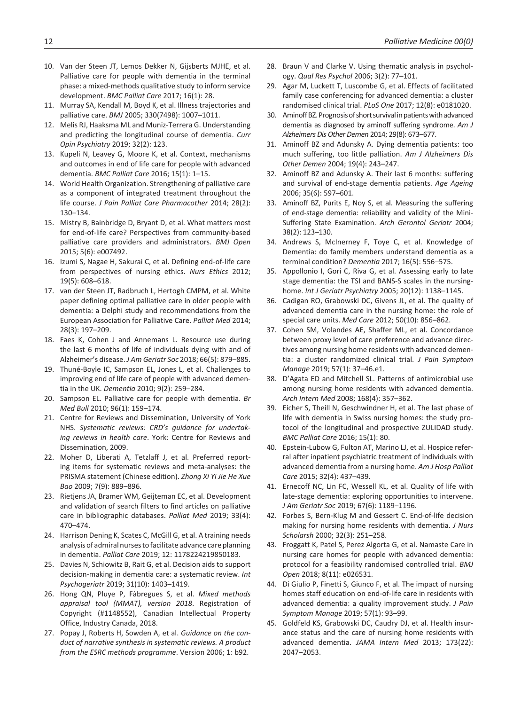- 10. Van der Steen JT, Lemos Dekker N, Gijsberts MJHE, et al. Palliative care for people with dementia in the terminal phase: a mixed-methods qualitative study to inform service development. *BMC Palliat Care* 2017; 16(1): 28.
- 11. Murray SA, Kendall M, Boyd K, et al. Illness trajectories and palliative care. *BMJ* 2005; 330(7498): 1007–1011.
- 12. Melis RJ, Haaksma ML and Muniz-Terrera G. Understanding and predicting the longitudinal course of dementia. *Curr Opin Psychiatry* 2019; 32(2): 123.
- 13. Kupeli N, Leavey G, Moore K, et al. Context, mechanisms and outcomes in end of life care for people with advanced dementia. *BMC Palliat Care* 2016; 15(1): 1–15.
- 14. World Health Organization. Strengthening of palliative care as a component of integrated treatment throughout the life course. *J Pain Palliat Care Pharmacother* 2014; 28(2): 130–134.
- 15. Mistry B, Bainbridge D, Bryant D, et al. What matters most for end-of-life care? Perspectives from community-based palliative care providers and administrators. *BMJ Open* 2015; 5(6): e007492.
- 16. Izumi S, Nagae H, Sakurai C, et al. Defining end-of-life care from perspectives of nursing ethics. *Nurs Ethics* 2012; 19(5): 608–618.
- 17. van der Steen JT, Radbruch L, Hertogh CMPM, et al. White paper defining optimal palliative care in older people with dementia: a Delphi study and recommendations from the European Association for Palliative Care. *Palliat Med* 2014; 28(3): 197–209.
- 18. Faes K, Cohen J and Annemans L. Resource use during the last 6 months of life of individuals dying with and of Alzheimer's disease. *J Am Geriatr Soc* 2018; 66(5): 879–885.
- 19. Thuné-Boyle IC, Sampson EL, Jones L, et al. Challenges to improving end of life care of people with advanced dementia in the UK. *Dementia* 2010; 9(2): 259–284.
- 20. Sampson EL. Palliative care for people with dementia. *Br Med Bull* 2010; 96(1): 159–174.
- 21. Centre for Reviews and Dissemination, University of York NHS. *Systematic reviews: CRD's guidance for undertaking reviews in health care*. York: Centre for Reviews and Dissemination, 2009.
- 22. Moher D, Liberati A, Tetzlaff J, et al. Preferred reporting items for systematic reviews and meta-analyses: the PRISMA statement (Chinese edition). *Zhong Xi Yi Jie He Xue Bao* 2009; 7(9): 889–896.
- 23. Rietjens JA, Bramer WM, Geijteman EC, et al. Development and validation of search filters to find articles on palliative care in bibliographic databases. *Palliat Med* 2019; 33(4): 470–474.
- 24. Harrison Dening K, Scates C, McGill G, et al. A training needs analysis of admiral nurses to facilitate advance care planning in dementia. *Palliat Care* 2019; 12: 1178224219850183.
- 25. Davies N, Schiowitz B, Rait G, et al. Decision aids to support decision-making in dementia care: a systematic review. *Int Psychogeriatr* 2019; 31(10): 1403–1419.
- 26. Hong QN, Pluye P, Fàbregues S, et al. *Mixed methods appraisal tool (MMAT), version 2018*. Registration of Copyright (#1148552), Canadian Intellectual Property Office, Industry Canada, 2018.
- 27. Popay J, Roberts H, Sowden A, et al. *Guidance on the conduct of narrative synthesis in systematic reviews. A product from the ESRC methods programme*. Version 2006; 1: b92.
- 28. Braun V and Clarke V. Using thematic analysis in psychology. *Qual Res Psychol* 2006; 3(2): 77–101.
- 29. Agar M, Luckett T, Luscombe G, et al. Effects of facilitated family case conferencing for advanced dementia: a cluster randomised clinical trial. *PLoS One* 2017; 12(8): e0181020.
- 30. Aminoff BZ. Prognosis of short survival in patients with advanced dementia as diagnosed by aminoff suffering syndrome. *Am J Alzheimers Dis Other Demen* 2014; 29(8): 673–677.
- 31. Aminoff BZ and Adunsky A. Dying dementia patients: too much suffering, too little palliation. *Am J Alzheimers Dis Other Demen* 2004; 19(4): 243–247.
- 32. Aminoff BZ and Adunsky A. Their last 6 months: suffering and survival of end-stage dementia patients. *Age Ageing* 2006; 35(6): 597–601.
- 33. Aminoff BZ, Purits E, Noy S, et al. Measuring the suffering of end-stage dementia: reliability and validity of the Mini-Suffering State Examination. *Arch Gerontol Geriatr* 2004; 38(2): 123–130.
- 34. Andrews S, McInerney F, Toye C, et al. Knowledge of Dementia: do family members understand dementia as a terminal condition? *Dementia* 2017; 16(5): 556–575.
- 35. Appollonio I, Gori C, Riva G, et al. Assessing early to late stage dementia: the TSI and BANS-S scales in the nursinghome. *Int J Geriatr Psychiatry* 2005; 20(12): 1138–1145.
- 36. Cadigan RO, Grabowski DC, Givens JL, et al. The quality of advanced dementia care in the nursing home: the role of special care units. *Med Care* 2012; 50(10): 856–862.
- 37. Cohen SM, Volandes AE, Shaffer ML, et al. Concordance between proxy level of care preference and advance directives among nursing home residents with advanced dementia: a cluster randomized clinical trial. *J Pain Symptom Manage* 2019; 57(1): 37–46.e1.
- 38. D'Agata ED and Mitchell SL. Patterns of antimicrobial use among nursing home residents with advanced dementia. *Arch Intern Med* 2008; 168(4): 357–362.
- 39. Eicher S, Theill N, Geschwindner H, et al. The last phase of life with dementia in Swiss nursing homes: the study protocol of the longitudinal and prospective ZULIDAD study. *BMC Palliat Care* 2016; 15(1): 80.
- 40. Epstein-Lubow G, Fulton AT, Marino LJ, et al. Hospice referral after inpatient psychiatric treatment of individuals with advanced dementia from a nursing home. *Am J Hosp Palliat Care* 2015; 32(4): 437–439.
- 41. Ernecoff NC, Lin FC, Wessell KL, et al. Quality of life with late-stage dementia: exploring opportunities to intervene. *J Am Geriatr Soc* 2019; 67(6): 1189–1196.
- 42. Forbes S, Bern-Klug M and Gessert C. End-of-life decision making for nursing home residents with dementia. *J Nurs Scholarsh* 2000; 32(3): 251–258.
- 43. Froggatt K, Patel S, Perez Algorta G, et al. Namaste Care in nursing care homes for people with advanced dementia: protocol for a feasibility randomised controlled trial. *BMJ Open* 2018; 8(11): e026531.
- 44. Di Giulio P, Finetti S, Giunco F, et al. The impact of nursing homes staff education on end-of-life care in residents with advanced dementia: a quality improvement study. *J Pain Symptom Manage* 2019; 57(1): 93–99.
- 45. Goldfeld KS, Grabowski DC, Caudry DJ, et al. Health insurance status and the care of nursing home residents with advanced dementia. *JAMA Intern Med* 2013; 173(22): 2047–2053.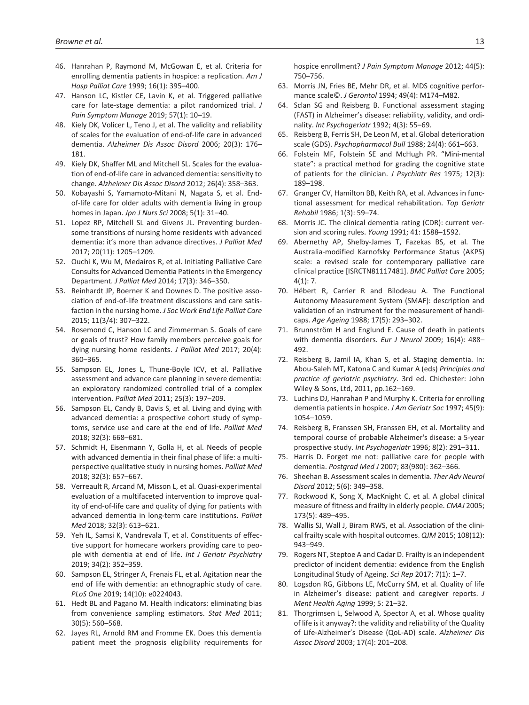- 46. Hanrahan P, Raymond M, McGowan E, et al. Criteria for enrolling dementia patients in hospice: a replication. *Am J Hosp Palliat Care* 1999; 16(1): 395–400.
- 47. Hanson LC, Kistler CE, Lavin K, et al. Triggered palliative care for late-stage dementia: a pilot randomized trial. *J Pain Symptom Manage* 2019; 57(1): 10–19.
- 48. Kiely DK, Volicer L, Teno J, et al. The validity and reliability of scales for the evaluation of end-of-life care in advanced dementia. *Alzheimer Dis Assoc Disord* 2006; 20(3): 176– 181.
- 49. Kiely DK, Shaffer ML and Mitchell SL. Scales for the evaluation of end-of-life care in advanced dementia: sensitivity to change. *Alzheimer Dis Assoc Disord* 2012; 26(4): 358–363.
- 50. Kobayashi S, Yamamoto-Mitani N, Nagata S, et al. Endof-life care for older adults with dementia living in group homes in Japan. *Jpn J Nurs Sci* 2008; 5(1): 31–40.
- 51. Lopez RP, Mitchell SL and Givens JL. Preventing burdensome transitions of nursing home residents with advanced dementia: it's more than advance directives. *J Palliat Med* 2017; 20(11): 1205–1209.
- 52. Ouchi K, Wu M, Medairos R, et al. Initiating Palliative Care Consults for Advanced Dementia Patients in the Emergency Department. *J Palliat Med* 2014; 17(3): 346–350.
- 53. Reinhardt JP, Boerner K and Downes D. The positive association of end-of-life treatment discussions and care satisfaction in the nursing home. *J Soc Work End Life Palliat Care* 2015; 11(3/4): 307–322.
- 54. Rosemond C, Hanson LC and Zimmerman S. Goals of care or goals of trust? How family members perceive goals for dying nursing home residents. *J Palliat Med* 2017; 20(4): 360–365.
- 55. Sampson EL, Jones L, Thune-Boyle ICV, et al. Palliative assessment and advance care planning in severe dementia: an exploratory randomized controlled trial of a complex intervention. *Palliat Med* 2011; 25(3): 197–209.
- 56. Sampson EL, Candy B, Davis S, et al. Living and dying with advanced dementia: a prospective cohort study of symptoms, service use and care at the end of life. *Palliat Med* 2018; 32(3): 668–681.
- 57. Schmidt H, Eisenmann Y, Golla H, et al. Needs of people with advanced dementia in their final phase of life: a multiperspective qualitative study in nursing homes. *Palliat Med* 2018; 32(3): 657–667.
- 58. Verreault R, Arcand M, Misson L, et al. Quasi-experimental evaluation of a multifaceted intervention to improve quality of end-of-life care and quality of dying for patients with advanced dementia in long-term care institutions. *Palliat Med* 2018; 32(3): 613–621.
- 59. Yeh IL, Samsi K, Vandrevala T, et al. Constituents of effective support for homecare workers providing care to people with dementia at end of life. *Int J Geriatr Psychiatry* 2019; 34(2): 352–359.
- 60. Sampson EL, Stringer A, Frenais FL, et al. Agitation near the end of life with dementia: an ethnographic study of care. *PLoS One* 2019; 14(10): e0224043.
- 61. Hedt BL and Pagano M. Health indicators: eliminating bias from convenience sampling estimators. *Stat Med* 2011; 30(5): 560–568.
- 62. Jayes RL, Arnold RM and Fromme EK. Does this dementia patient meet the prognosis eligibility requirements for

hospice enrollment? *J Pain Symptom Manage* 2012; 44(5): 750–756.

- 63. Morris JN, Fries BE, Mehr DR, et al. MDS cognitive performance scale©. *J Gerontol* 1994; 49(4): M174–M82.
- 64. Sclan SG and Reisberg B. Functional assessment staging (FAST) in Alzheimer's disease: reliability, validity, and ordinality. *Int Psychogeriatr* 1992; 4(3): 55–69.
- 65. Reisberg B, Ferris SH, De Leon M, et al. Global deterioration scale (GDS). *Psychopharmacol Bull* 1988; 24(4): 661–663.
- 66. Folstein MF, Folstein SE and McHugh PR. "Mini-mental state": a practical method for grading the cognitive state of patients for the clinician. *J Psychiatr Res* 1975; 12(3): 189–198.
- 67. Granger CV, Hamilton BB, Keith RA, et al. Advances in functional assessment for medical rehabilitation. *Top Geriatr Rehabil* 1986; 1(3): 59–74.
- 68. Morris JC. The clinical dementia rating (CDR): current version and scoring rules. *Young* 1991; 41: 1588–1592.
- 69. Abernethy AP, Shelby-James T, Fazekas BS, et al. The Australia-modified Karnofsky Performance Status (AKPS) scale: a revised scale for contemporary palliative care clinical practice [ISRCTN81117481]. *BMC Palliat Care* 2005;  $4(1): 7.$
- 70. Hébert R, Carrier R and Bilodeau A. The Functional Autonomy Measurement System (SMAF): description and validation of an instrument for the measurement of handicaps. *Age Ageing* 1988; 17(5): 293–302.
- 71. Brunnström H and Englund E. Cause of death in patients with dementia disorders. *Eur J Neurol* 2009; 16(4): 488– 492.
- 72. Reisberg B, Jamil IA, Khan S, et al. Staging dementia. In: Abou-Saleh MT, Katona C and Kumar A (eds) *Principles and practice of geriatric psychiatry*. 3rd ed. Chichester: John Wiley & Sons, Ltd, 2011, pp.162–169.
- 73. Luchins DJ, Hanrahan P and Murphy K. Criteria for enrolling dementia patients in hospice. *J Am Geriatr Soc* 1997; 45(9): 1054–1059.
- 74. Reisberg B, Franssen SH, Franssen EH, et al. Mortality and temporal course of probable Alzheimer's disease: a 5-year prospective study. *Int Psychogeriatr* 1996; 8(2): 291–311.
- 75. Harris D. Forget me not: palliative care for people with dementia. *Postgrad Med J* 2007; 83(980): 362–366.
- 76. Sheehan B. Assessment scales in dementia. *Ther Adv Neurol Disord* 2012; 5(6): 349–358.
- 77. Rockwood K, Song X, MacKnight C, et al. A global clinical measure of fitness and frailty in elderly people. *CMAJ* 2005; 173(5): 489–495.
- 78. Wallis SJ, Wall J, Biram RWS, et al. Association of the clinical frailty scale with hospital outcomes. *QJM* 2015; 108(12): 943–949.
- 79. Rogers NT, Steptoe A and Cadar D. Frailty is an independent predictor of incident dementia: evidence from the English Longitudinal Study of Ageing. *Sci Rep* 2017; 7(1): 1–7.
- 80. Logsdon RG, Gibbons LE, McCurry SM, et al. Quality of life in Alzheimer's disease: patient and caregiver reports. *J Ment Health Aging* 1999; 5: 21–32.
- 81. Thorgrimsen L, Selwood A, Spector A, et al. Whose quality of life is it anyway?: the validity and reliability of the Quality of Life-Alzheimer's Disease (QoL-AD) scale. *Alzheimer Dis Assoc Disord* 2003; 17(4): 201–208.